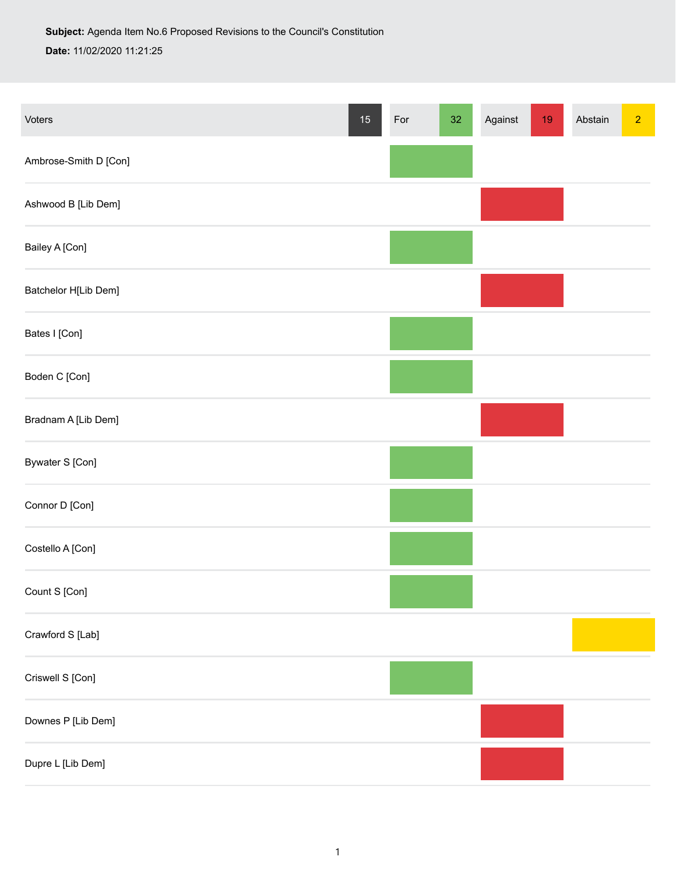Voters 15 For 32 Against 19 Abstain 2 Against 19 Abstain 2 Against 19 Abstain 2 Against 19 Abstain 2 Against 19 Abstain 2 Against 19 Abstain 2 Against 19 Abstain 2 Against 19 Abstain 2 Against 19 Abstain 2 Against 19 Absta Ambrose-Smith D [Con] Ashwood B [Lib Dem] Bailey A [Con] Batchelor H[Lib Dem] Bates I [Con] Boden C [Con] Bradnam A [Lib Dem] Bywater S [Con] Connor D [Con] Costello A [Con] Count S [Con] Crawford S [Lab] Criswell S [Con] Downes P [Lib Dem] Dupre L [Lib Dem]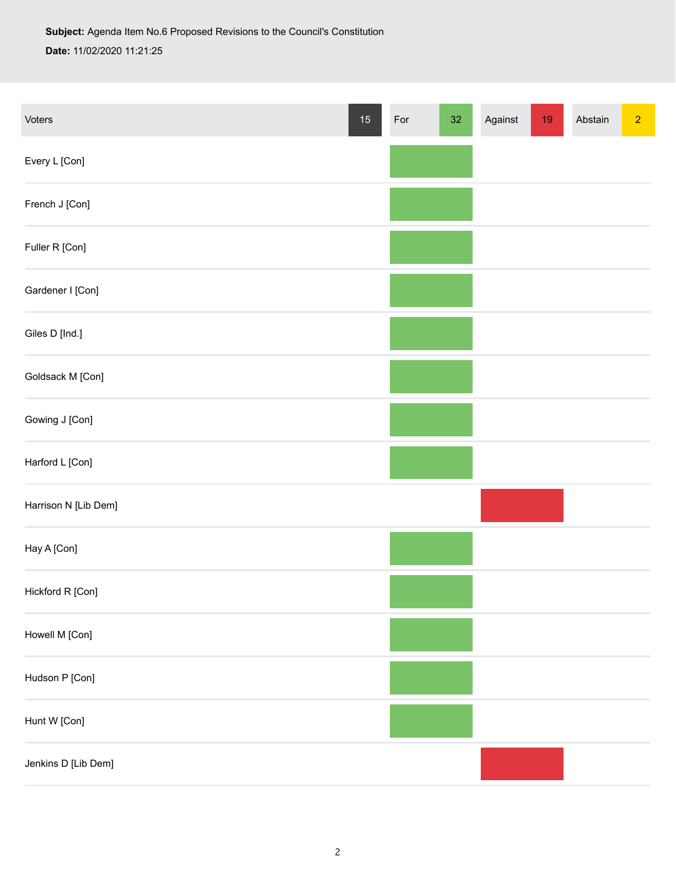| Voters               | $15\,$ | For | $32\,$ | Against | $19$ | Abstain | $\overline{2}$ |
|----------------------|--------|-----|--------|---------|------|---------|----------------|
| Every L [Con]        |        |     |        |         |      |         |                |
| French J [Con]       |        |     |        |         |      |         |                |
| Fuller R [Con]       |        |     |        |         |      |         |                |
| Gardener I [Con]     |        |     |        |         |      |         |                |
| Giles D [Ind.]       |        |     |        |         |      |         |                |
| Goldsack M [Con]     |        |     |        |         |      |         |                |
| Gowing J [Con]       |        |     |        |         |      |         |                |
| Harford L [Con]      |        |     |        |         |      |         |                |
| Harrison N [Lib Dem] |        |     |        |         |      |         |                |
| Hay A [Con]          |        |     |        |         |      |         |                |
| Hickford R [Con]     |        |     |        |         |      |         |                |
| Howell M [Con]       |        |     |        |         |      |         |                |
| Hudson P [Con]       |        |     |        |         |      |         |                |
| Hunt W [Con]         |        |     |        |         |      |         |                |
| Jenkins D [Lib Dem]  |        |     |        |         |      |         |                |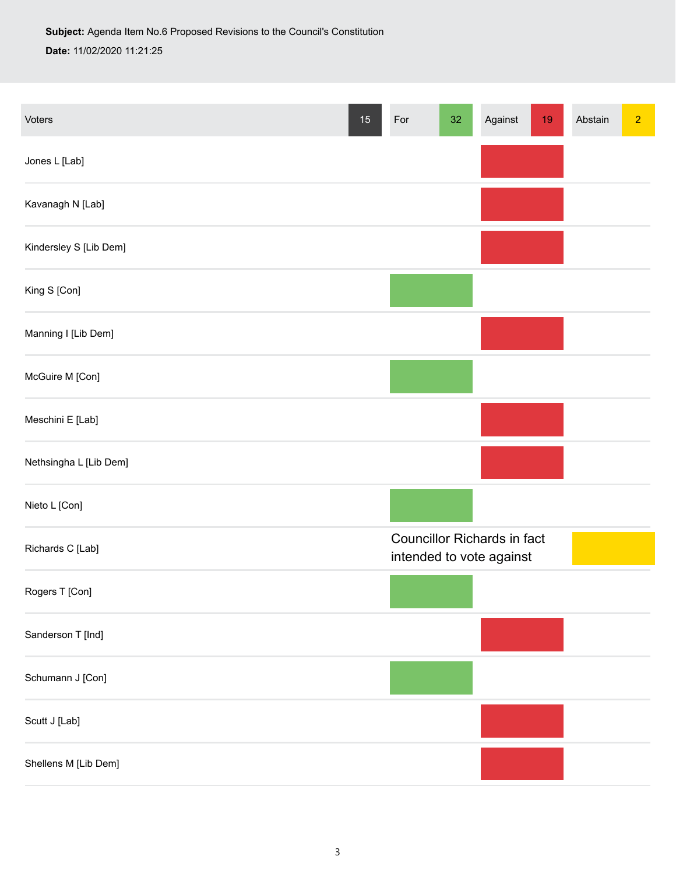| Voters                 | $15\,$ | For                                                            | 32 | Against | $19$ | Abstain | $\overline{2}$ |
|------------------------|--------|----------------------------------------------------------------|----|---------|------|---------|----------------|
| Jones L [Lab]          |        |                                                                |    |         |      |         |                |
| Kavanagh N [Lab]       |        |                                                                |    |         |      |         |                |
| Kindersley S [Lib Dem] |        |                                                                |    |         |      |         |                |
| King S [Con]           |        |                                                                |    |         |      |         |                |
| Manning I [Lib Dem]    |        |                                                                |    |         |      |         |                |
| McGuire M [Con]        |        |                                                                |    |         |      |         |                |
| Meschini E [Lab]       |        |                                                                |    |         |      |         |                |
| Nethsingha L [Lib Dem] |        |                                                                |    |         |      |         |                |
| Nieto L [Con]          |        |                                                                |    |         |      |         |                |
| Richards C [Lab]       |        | <b>Councillor Richards in fact</b><br>intended to vote against |    |         |      |         |                |
| Rogers T [Con]         |        |                                                                |    |         |      |         |                |
| Sanderson T [Ind]      |        |                                                                |    |         |      |         |                |
| Schumann J [Con]       |        |                                                                |    |         |      |         |                |
| Scutt J [Lab]          |        |                                                                |    |         |      |         |                |
| Shellens M [Lib Dem]   |        |                                                                |    |         |      |         |                |